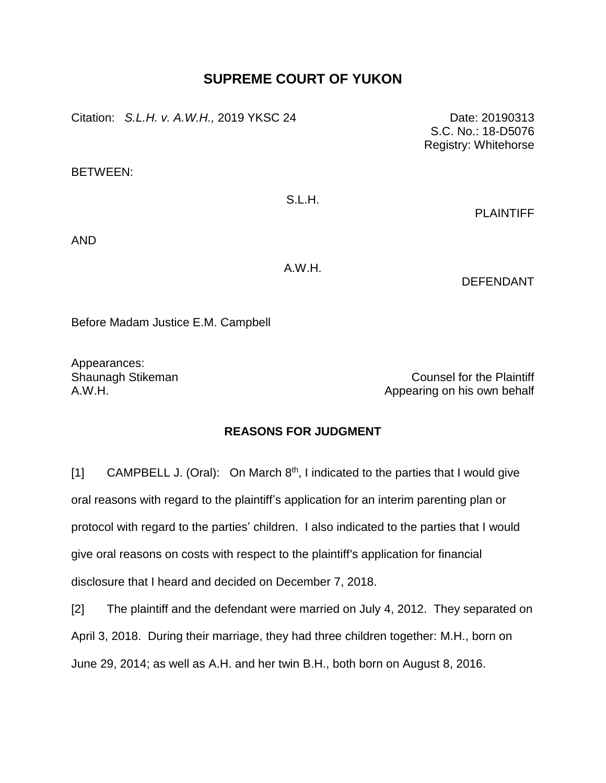## **SUPREME COURT OF YUKON**

Citation: *S.L.H. v. A.W.H.*, 2019 YKSC 24 Date: 20190313

BETWEEN:

## S.L.H.

PLAINTIFF

S.C. No.: 18-D5076 Registry: Whitehorse

AND

A.W.H.

DEFENDANT

Before Madam Justice E.M. Campbell

Appearances:

Shaunagh Stikeman Counsel for the Plaintiff A.W.H. Appearing on his own behalf

## **REASONS FOR JUDGMENT**

[1] CAMPBELL J. (Oral): On March  $8<sup>th</sup>$ , I indicated to the parties that I would give oral reasons with regard to the plaintiff's application for an interim parenting plan or protocol with regard to the parties' children. I also indicated to the parties that I would give oral reasons on costs with respect to the plaintiff's application for financial disclosure that I heard and decided on December 7, 2018.

[2] The plaintiff and the defendant were married on July 4, 2012. They separated on April 3, 2018. During their marriage, they had three children together: M.H., born on June 29, 2014; as well as A.H. and her twin B.H., both born on August 8, 2016.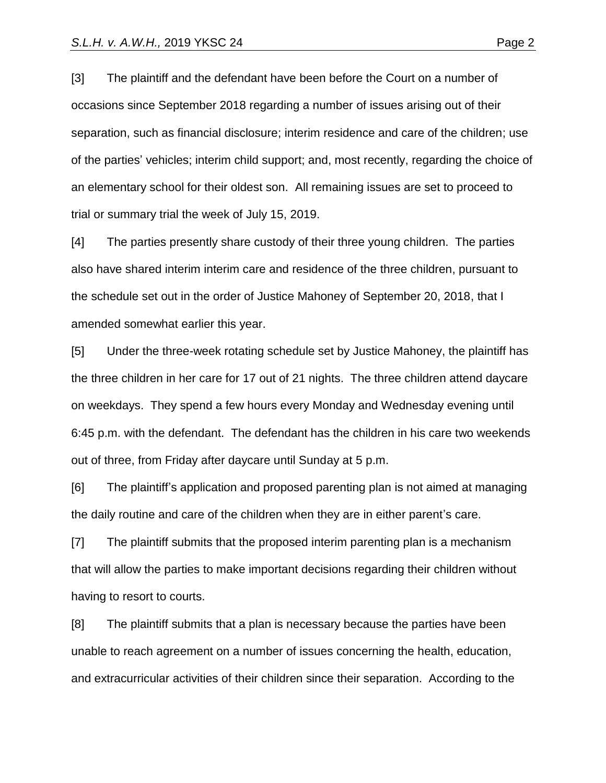[3] The plaintiff and the defendant have been before the Court on a number of occasions since September 2018 regarding a number of issues arising out of their separation, such as financial disclosure; interim residence and care of the children; use of the parties' vehicles; interim child support; and, most recently, regarding the choice of an elementary school for their oldest son. All remaining issues are set to proceed to trial or summary trial the week of July 15, 2019.

[4] The parties presently share custody of their three young children. The parties also have shared interim interim care and residence of the three children, pursuant to the schedule set out in the order of Justice Mahoney of September 20, 2018, that I amended somewhat earlier this year.

[5] Under the three-week rotating schedule set by Justice Mahoney, the plaintiff has the three children in her care for 17 out of 21 nights. The three children attend daycare on weekdays. They spend a few hours every Monday and Wednesday evening until 6:45 p.m. with the defendant. The defendant has the children in his care two weekends out of three, from Friday after daycare until Sunday at 5 p.m.

[6] The plaintiff's application and proposed parenting plan is not aimed at managing the daily routine and care of the children when they are in either parent's care.

[7] The plaintiff submits that the proposed interim parenting plan is a mechanism that will allow the parties to make important decisions regarding their children without having to resort to courts.

[8] The plaintiff submits that a plan is necessary because the parties have been unable to reach agreement on a number of issues concerning the health, education, and extracurricular activities of their children since their separation. According to the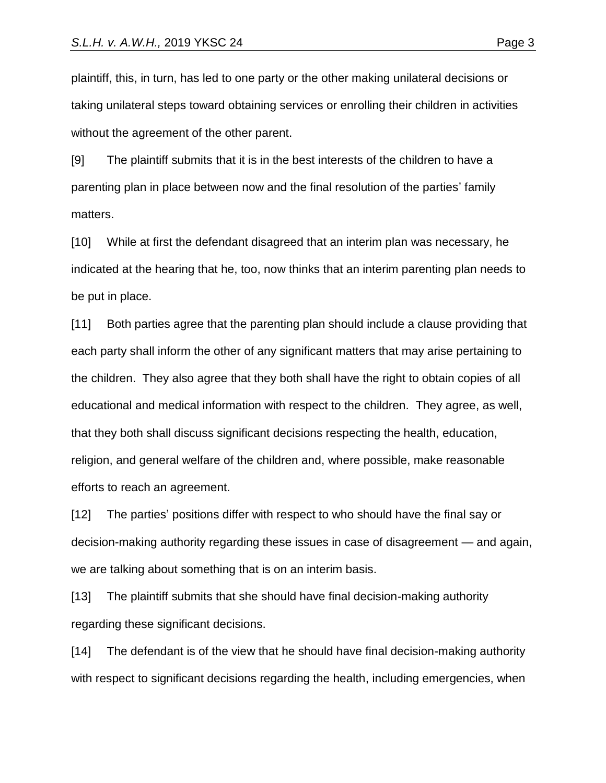plaintiff, this, in turn, has led to one party or the other making unilateral decisions or taking unilateral steps toward obtaining services or enrolling their children in activities without the agreement of the other parent.

[9] The plaintiff submits that it is in the best interests of the children to have a parenting plan in place between now and the final resolution of the parties' family matters.

[10] While at first the defendant disagreed that an interim plan was necessary, he indicated at the hearing that he, too, now thinks that an interim parenting plan needs to be put in place.

[11] Both parties agree that the parenting plan should include a clause providing that each party shall inform the other of any significant matters that may arise pertaining to the children. They also agree that they both shall have the right to obtain copies of all educational and medical information with respect to the children. They agree, as well, that they both shall discuss significant decisions respecting the health, education, religion, and general welfare of the children and, where possible, make reasonable efforts to reach an agreement.

[12] The parties' positions differ with respect to who should have the final say or decision-making authority regarding these issues in case of disagreement — and again, we are talking about something that is on an interim basis.

[13] The plaintiff submits that she should have final decision-making authority regarding these significant decisions.

[14] The defendant is of the view that he should have final decision-making authority with respect to significant decisions regarding the health, including emergencies, when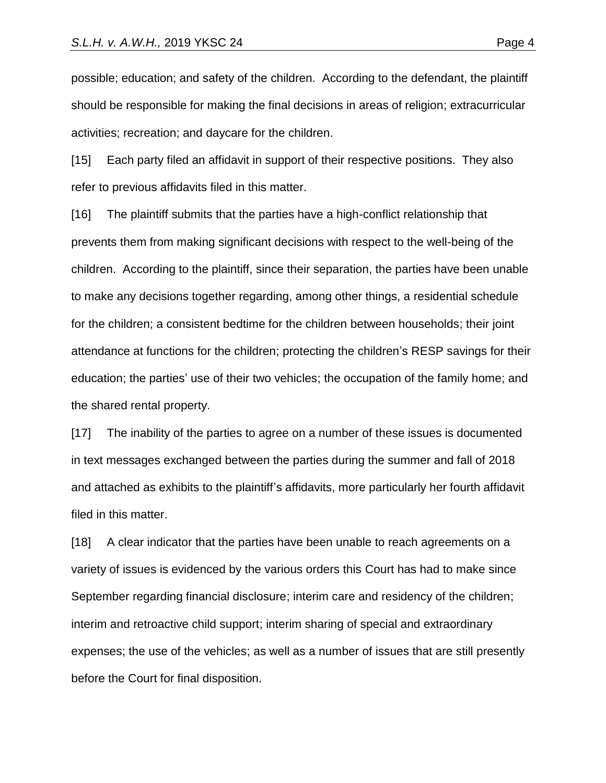possible; education; and safety of the children. According to the defendant, the plaintiff should be responsible for making the final decisions in areas of religion; extracurricular activities; recreation; and daycare for the children.

[15] Each party filed an affidavit in support of their respective positions. They also refer to previous affidavits filed in this matter.

[16] The plaintiff submits that the parties have a high-conflict relationship that prevents them from making significant decisions with respect to the well-being of the children. According to the plaintiff, since their separation, the parties have been unable to make any decisions together regarding, among other things, a residential schedule for the children; a consistent bedtime for the children between households; their joint attendance at functions for the children; protecting the children's RESP savings for their education; the parties' use of their two vehicles; the occupation of the family home; and the shared rental property.

[17] The inability of the parties to agree on a number of these issues is documented in text messages exchanged between the parties during the summer and fall of 2018 and attached as exhibits to the plaintiff's affidavits, more particularly her fourth affidavit filed in this matter.

[18] A clear indicator that the parties have been unable to reach agreements on a variety of issues is evidenced by the various orders this Court has had to make since September regarding financial disclosure; interim care and residency of the children; interim and retroactive child support; interim sharing of special and extraordinary expenses; the use of the vehicles; as well as a number of issues that are still presently before the Court for final disposition.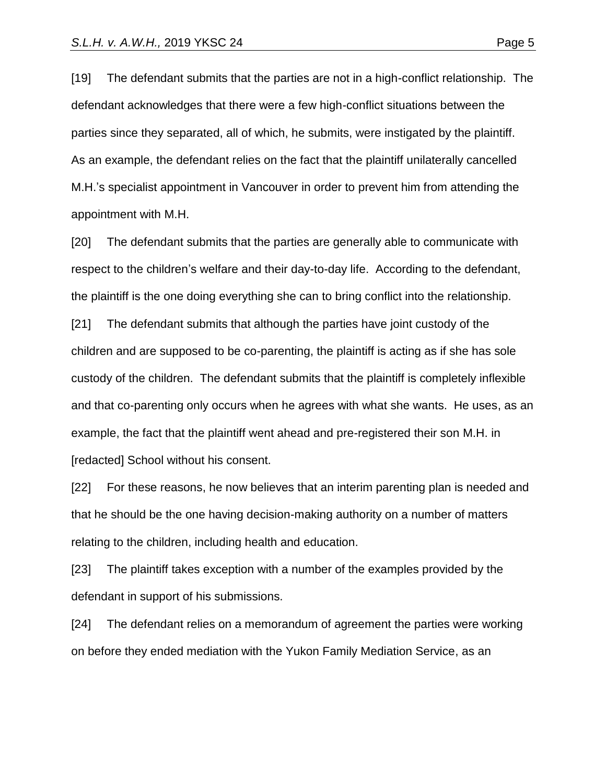[19] The defendant submits that the parties are not in a high-conflict relationship. The defendant acknowledges that there were a few high-conflict situations between the parties since they separated, all of which, he submits, were instigated by the plaintiff. As an example, the defendant relies on the fact that the plaintiff unilaterally cancelled M.H.'s specialist appointment in Vancouver in order to prevent him from attending the appointment with M.H.

[20] The defendant submits that the parties are generally able to communicate with respect to the children's welfare and their day-to-day life. According to the defendant, the plaintiff is the one doing everything she can to bring conflict into the relationship.

[21] The defendant submits that although the parties have joint custody of the children and are supposed to be co-parenting, the plaintiff is acting as if she has sole custody of the children. The defendant submits that the plaintiff is completely inflexible and that co-parenting only occurs when he agrees with what she wants. He uses, as an example, the fact that the plaintiff went ahead and pre-registered their son M.H. in [redacted] School without his consent.

[22] For these reasons, he now believes that an interim parenting plan is needed and that he should be the one having decision-making authority on a number of matters relating to the children, including health and education.

[23] The plaintiff takes exception with a number of the examples provided by the defendant in support of his submissions.

[24] The defendant relies on a memorandum of agreement the parties were working on before they ended mediation with the Yukon Family Mediation Service, as an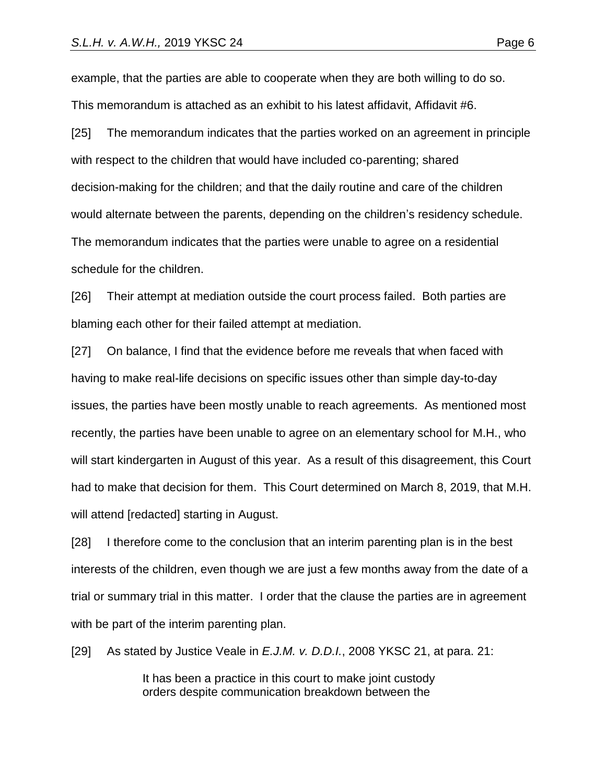example, that the parties are able to cooperate when they are both willing to do so. This memorandum is attached as an exhibit to his latest affidavit, Affidavit #6.

[25] The memorandum indicates that the parties worked on an agreement in principle with respect to the children that would have included co-parenting; shared decision-making for the children; and that the daily routine and care of the children would alternate between the parents, depending on the children's residency schedule. The memorandum indicates that the parties were unable to agree on a residential schedule for the children.

[26] Their attempt at mediation outside the court process failed. Both parties are blaming each other for their failed attempt at mediation.

[27] On balance, I find that the evidence before me reveals that when faced with having to make real-life decisions on specific issues other than simple day-to-day issues, the parties have been mostly unable to reach agreements. As mentioned most recently, the parties have been unable to agree on an elementary school for M.H., who will start kindergarten in August of this year. As a result of this disagreement, this Court had to make that decision for them. This Court determined on March 8, 2019, that M.H. will attend [redacted] starting in August.

[28] I therefore come to the conclusion that an interim parenting plan is in the best interests of the children, even though we are just a few months away from the date of a trial or summary trial in this matter. I order that the clause the parties are in agreement with be part of the interim parenting plan.

[29] As stated by Justice Veale in *E.J.M. v. D.D.I.*, 2008 YKSC 21, at para. 21:

It has been a practice in this court to make joint custody orders despite communication breakdown between the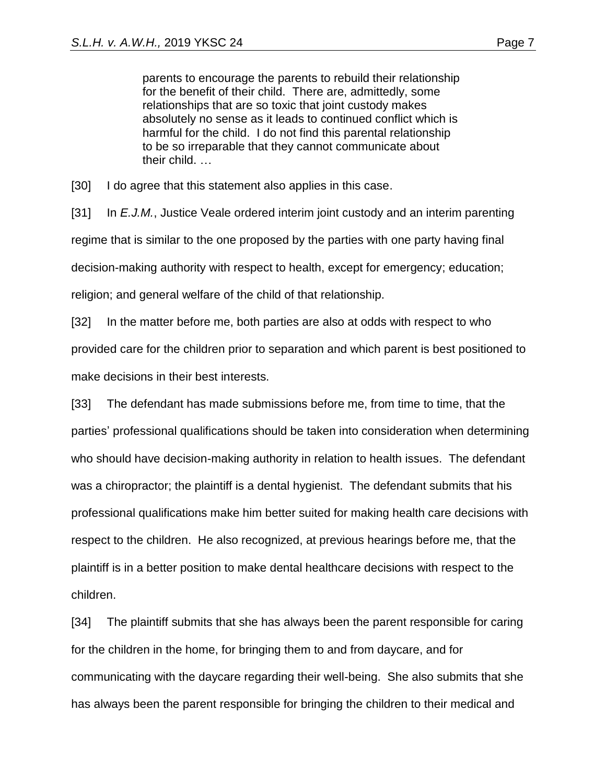parents to encourage the parents to rebuild their relationship for the benefit of their child. There are, admittedly, some relationships that are so toxic that joint custody makes absolutely no sense as it leads to continued conflict which is harmful for the child. I do not find this parental relationship to be so irreparable that they cannot communicate about their child. …

[30] I do agree that this statement also applies in this case.

[31] In *E.J.M.*, Justice Veale ordered interim joint custody and an interim parenting regime that is similar to the one proposed by the parties with one party having final decision-making authority with respect to health, except for emergency; education; religion; and general welfare of the child of that relationship.

[32] In the matter before me, both parties are also at odds with respect to who provided care for the children prior to separation and which parent is best positioned to make decisions in their best interests.

[33] The defendant has made submissions before me, from time to time, that the parties' professional qualifications should be taken into consideration when determining who should have decision-making authority in relation to health issues. The defendant was a chiropractor; the plaintiff is a dental hygienist. The defendant submits that his professional qualifications make him better suited for making health care decisions with respect to the children. He also recognized, at previous hearings before me, that the plaintiff is in a better position to make dental healthcare decisions with respect to the children.

[34] The plaintiff submits that she has always been the parent responsible for caring for the children in the home, for bringing them to and from daycare, and for communicating with the daycare regarding their well-being. She also submits that she has always been the parent responsible for bringing the children to their medical and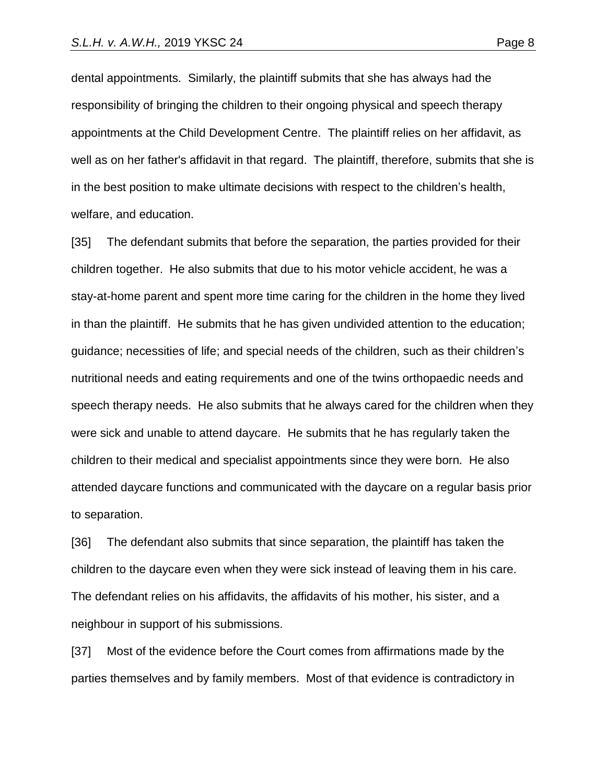dental appointments. Similarly, the plaintiff submits that she has always had the responsibility of bringing the children to their ongoing physical and speech therapy appointments at the Child Development Centre. The plaintiff relies on her affidavit, as well as on her father's affidavit in that regard. The plaintiff, therefore, submits that she is in the best position to make ultimate decisions with respect to the children's health, welfare, and education.

[35] The defendant submits that before the separation, the parties provided for their children together. He also submits that due to his motor vehicle accident, he was a stay-at-home parent and spent more time caring for the children in the home they lived in than the plaintiff. He submits that he has given undivided attention to the education; guidance; necessities of life; and special needs of the children, such as their children's nutritional needs and eating requirements and one of the twins orthopaedic needs and speech therapy needs. He also submits that he always cared for the children when they were sick and unable to attend daycare. He submits that he has regularly taken the children to their medical and specialist appointments since they were born. He also attended daycare functions and communicated with the daycare on a regular basis prior to separation.

[36] The defendant also submits that since separation, the plaintiff has taken the children to the daycare even when they were sick instead of leaving them in his care. The defendant relies on his affidavits, the affidavits of his mother, his sister, and a neighbour in support of his submissions.

[37] Most of the evidence before the Court comes from affirmations made by the parties themselves and by family members. Most of that evidence is contradictory in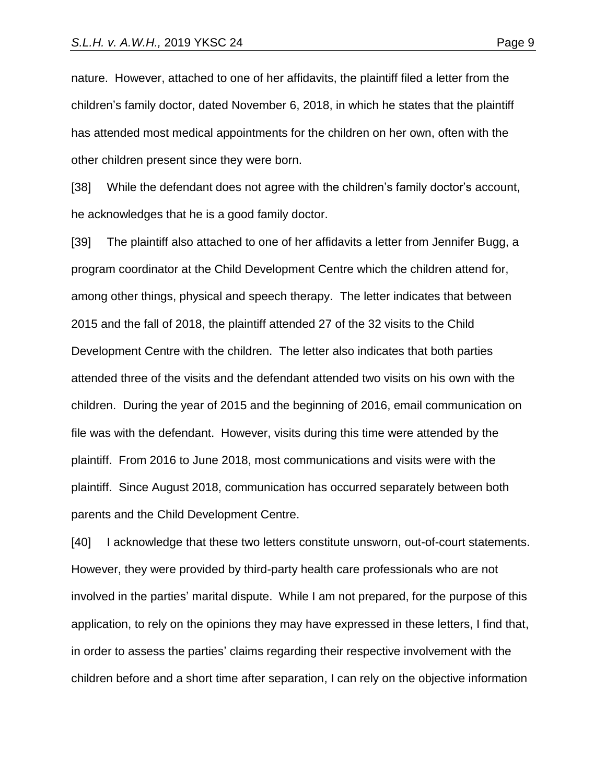nature. However, attached to one of her affidavits, the plaintiff filed a letter from the children's family doctor, dated November 6, 2018, in which he states that the plaintiff has attended most medical appointments for the children on her own, often with the other children present since they were born.

[38] While the defendant does not agree with the children's family doctor's account, he acknowledges that he is a good family doctor.

[39] The plaintiff also attached to one of her affidavits a letter from Jennifer Bugg, a program coordinator at the Child Development Centre which the children attend for, among other things, physical and speech therapy. The letter indicates that between 2015 and the fall of 2018, the plaintiff attended 27 of the 32 visits to the Child Development Centre with the children. The letter also indicates that both parties attended three of the visits and the defendant attended two visits on his own with the children. During the year of 2015 and the beginning of 2016, email communication on file was with the defendant. However, visits during this time were attended by the plaintiff. From 2016 to June 2018, most communications and visits were with the plaintiff. Since August 2018, communication has occurred separately between both parents and the Child Development Centre.

[40] I acknowledge that these two letters constitute unsworn, out-of-court statements. However, they were provided by third-party health care professionals who are not involved in the parties' marital dispute. While I am not prepared, for the purpose of this application, to rely on the opinions they may have expressed in these letters, I find that, in order to assess the parties' claims regarding their respective involvement with the children before and a short time after separation, I can rely on the objective information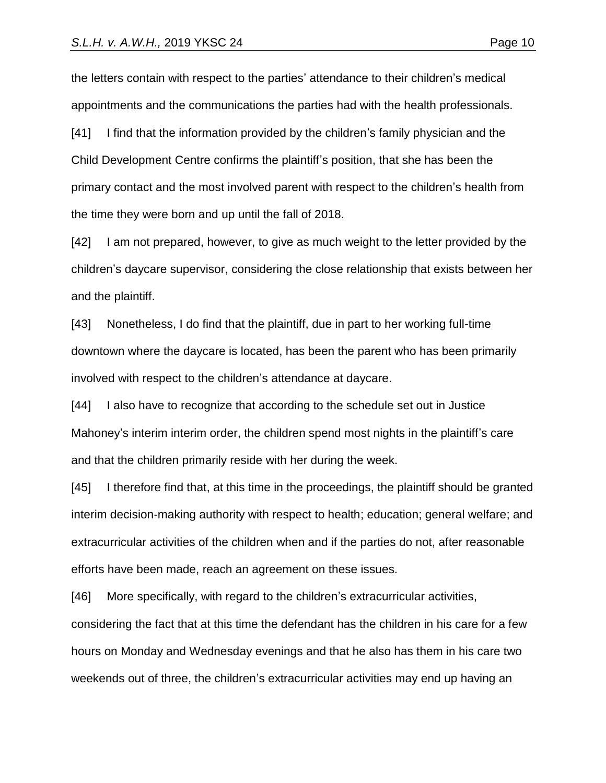the letters contain with respect to the parties' attendance to their children's medical appointments and the communications the parties had with the health professionals.

[41] I find that the information provided by the children's family physician and the Child Development Centre confirms the plaintiff's position, that she has been the primary contact and the most involved parent with respect to the children's health from the time they were born and up until the fall of 2018.

[42] I am not prepared, however, to give as much weight to the letter provided by the children's daycare supervisor, considering the close relationship that exists between her and the plaintiff.

[43] Nonetheless, I do find that the plaintiff, due in part to her working full-time downtown where the daycare is located, has been the parent who has been primarily involved with respect to the children's attendance at daycare.

[44] I also have to recognize that according to the schedule set out in Justice Mahoney's interim interim order, the children spend most nights in the plaintiff's care and that the children primarily reside with her during the week.

[45] I therefore find that, at this time in the proceedings, the plaintiff should be granted interim decision-making authority with respect to health; education; general welfare; and extracurricular activities of the children when and if the parties do not, after reasonable efforts have been made, reach an agreement on these issues.

[46] More specifically, with regard to the children's extracurricular activities,

considering the fact that at this time the defendant has the children in his care for a few hours on Monday and Wednesday evenings and that he also has them in his care two weekends out of three, the children's extracurricular activities may end up having an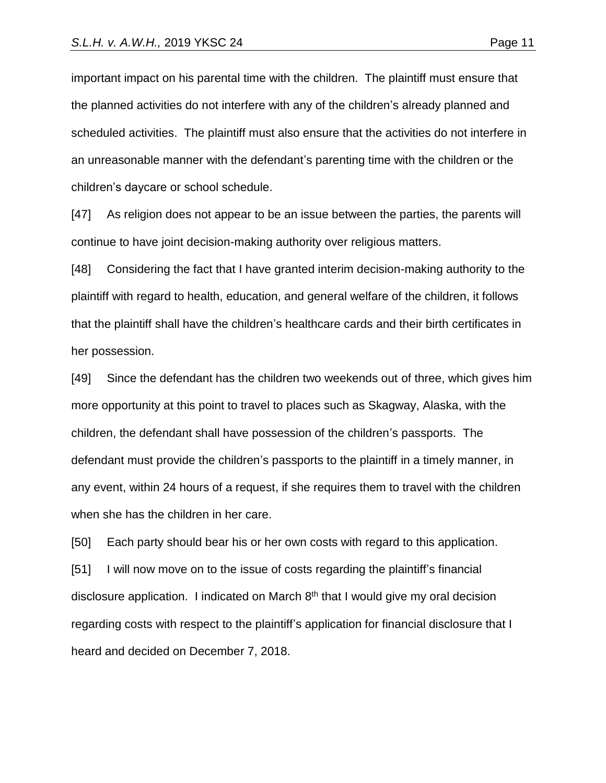important impact on his parental time with the children. The plaintiff must ensure that the planned activities do not interfere with any of the children's already planned and scheduled activities. The plaintiff must also ensure that the activities do not interfere in an unreasonable manner with the defendant's parenting time with the children or the children's daycare or school schedule.

[47] As religion does not appear to be an issue between the parties, the parents will continue to have joint decision-making authority over religious matters.

[48] Considering the fact that I have granted interim decision-making authority to the plaintiff with regard to health, education, and general welfare of the children, it follows that the plaintiff shall have the children's healthcare cards and their birth certificates in her possession.

[49] Since the defendant has the children two weekends out of three, which gives him more opportunity at this point to travel to places such as Skagway, Alaska, with the children, the defendant shall have possession of the children's passports. The defendant must provide the children's passports to the plaintiff in a timely manner, in any event, within 24 hours of a request, if she requires them to travel with the children when she has the children in her care.

[50] Each party should bear his or her own costs with regard to this application. [51] I will now move on to the issue of costs regarding the plaintiff's financial disclosure application. I indicated on March 8<sup>th</sup> that I would give my oral decision regarding costs with respect to the plaintiff's application for financial disclosure that I heard and decided on December 7, 2018.